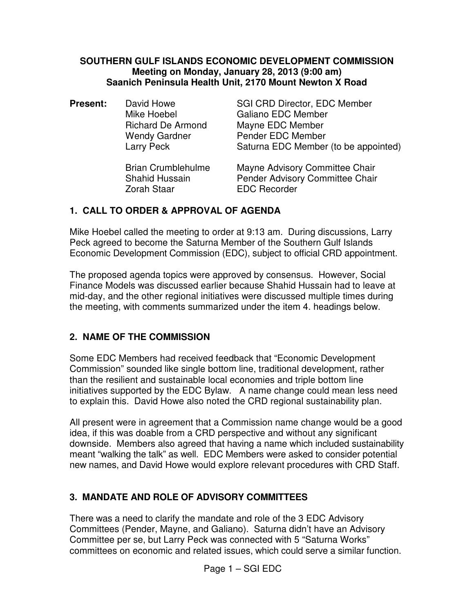#### **SOUTHERN GULF ISLANDS ECONOMIC DEVELOPMENT COMMISSION Meeting on Monday, January 28, 2013 (9:00 am) Saanich Peninsula Health Unit, 2170 Mount Newton X Road**

| <b>Present:</b> | David Howe                | <b>SGI CRD Director, EDC Member</b>  |
|-----------------|---------------------------|--------------------------------------|
|                 | Mike Hoebel               | <b>Galiano EDC Member</b>            |
|                 | <b>Richard De Armond</b>  | Mayne EDC Member                     |
|                 | <b>Wendy Gardner</b>      | Pender EDC Member                    |
|                 | Larry Peck                | Saturna EDC Member (to be appointed) |
|                 | <b>Brian Crumblehulme</b> | Mayne Advisory Committee Chair       |
|                 | <b>Shahid Hussain</b>     | Pender Advisory Committee Chair      |

Zorah Staar EDC Recorder

#### **1. CALL TO ORDER & APPROVAL OF AGENDA**

Mike Hoebel called the meeting to order at 9:13 am. During discussions, Larry Peck agreed to become the Saturna Member of the Southern Gulf Islands Economic Development Commission (EDC), subject to official CRD appointment.

The proposed agenda topics were approved by consensus. However, Social Finance Models was discussed earlier because Shahid Hussain had to leave at mid-day, and the other regional initiatives were discussed multiple times during the meeting, with comments summarized under the item 4. headings below.

## **2. NAME OF THE COMMISSION**

Some EDC Members had received feedback that "Economic Development Commission" sounded like single bottom line, traditional development, rather than the resilient and sustainable local economies and triple bottom line initiatives supported by the EDC Bylaw. A name change could mean less need to explain this. David Howe also noted the CRD regional sustainability plan.

All present were in agreement that a Commission name change would be a good idea, if this was doable from a CRD perspective and without any significant downside. Members also agreed that having a name which included sustainability meant "walking the talk" as well. EDC Members were asked to consider potential new names, and David Howe would explore relevant procedures with CRD Staff.

## **3. MANDATE AND ROLE OF ADVISORY COMMITTEES**

There was a need to clarify the mandate and role of the 3 EDC Advisory Committees (Pender, Mayne, and Galiano). Saturna didn't have an Advisory Committee per se, but Larry Peck was connected with 5 "Saturna Works" committees on economic and related issues, which could serve a similar function.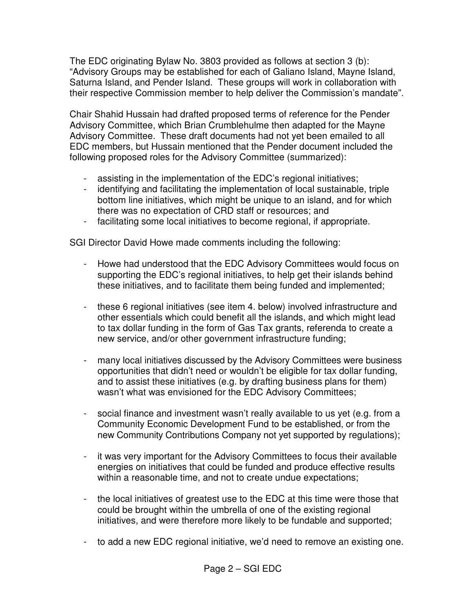The EDC originating Bylaw No. 3803 provided as follows at section 3 (b): "Advisory Groups may be established for each of Galiano Island, Mayne Island, Saturna Island, and Pender Island. These groups will work in collaboration with their respective Commission member to help deliver the Commission's mandate".

Chair Shahid Hussain had drafted proposed terms of reference for the Pender Advisory Committee, which Brian Crumblehulme then adapted for the Mayne Advisory Committee. These draft documents had not yet been emailed to all EDC members, but Hussain mentioned that the Pender document included the following proposed roles for the Advisory Committee (summarized):

- assisting in the implementation of the EDC's regional initiatives;
- identifying and facilitating the implementation of local sustainable, triple bottom line initiatives, which might be unique to an island, and for which there was no expectation of CRD staff or resources; and
- facilitating some local initiatives to become regional, if appropriate.

SGI Director David Howe made comments including the following:

- Howe had understood that the EDC Advisory Committees would focus on supporting the EDC's regional initiatives, to help get their islands behind these initiatives, and to facilitate them being funded and implemented;
- these 6 regional initiatives (see item 4. below) involved infrastructure and other essentials which could benefit all the islands, and which might lead to tax dollar funding in the form of Gas Tax grants, referenda to create a new service, and/or other government infrastructure funding;
- many local initiatives discussed by the Advisory Committees were business opportunities that didn't need or wouldn't be eligible for tax dollar funding, and to assist these initiatives (e.g. by drafting business plans for them) wasn't what was envisioned for the EDC Advisory Committees;
- social finance and investment wasn't really available to us yet (e.g. from a Community Economic Development Fund to be established, or from the new Community Contributions Company not yet supported by regulations);
- it was very important for the Advisory Committees to focus their available energies on initiatives that could be funded and produce effective results within a reasonable time, and not to create undue expectations;
- the local initiatives of greatest use to the EDC at this time were those that could be brought within the umbrella of one of the existing regional initiatives, and were therefore more likely to be fundable and supported;
- to add a new EDC regional initiative, we'd need to remove an existing one.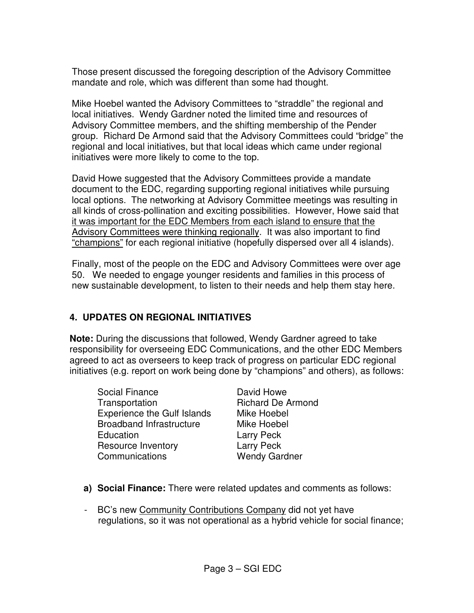Those present discussed the foregoing description of the Advisory Committee mandate and role, which was different than some had thought.

Mike Hoebel wanted the Advisory Committees to "straddle" the regional and local initiatives. Wendy Gardner noted the limited time and resources of Advisory Committee members, and the shifting membership of the Pender group. Richard De Armond said that the Advisory Committees could "bridge" the regional and local initiatives, but that local ideas which came under regional initiatives were more likely to come to the top.

David Howe suggested that the Advisory Committees provide a mandate document to the EDC, regarding supporting regional initiatives while pursuing local options. The networking at Advisory Committee meetings was resulting in all kinds of cross-pollination and exciting possibilities. However, Howe said that it was important for the EDC Members from each island to ensure that the Advisory Committees were thinking regionally. It was also important to find "champions" for each regional initiative (hopefully dispersed over all 4 islands).

Finally, most of the people on the EDC and Advisory Committees were over age 50. We needed to engage younger residents and families in this process of new sustainable development, to listen to their needs and help them stay here.

## **4. UPDATES ON REGIONAL INITIATIVES**

**Note:** During the discussions that followed, Wendy Gardner agreed to take responsibility for overseeing EDC Communications, and the other EDC Members agreed to act as overseers to keep track of progress on particular EDC regional initiatives (e.g. report on work being done by "champions" and others), as follows:

Social Finance David Howe Transportation Richard De Armond Experience the Gulf Islands Mike Hoebel Broadband Infrastructure Mike Hoebel Education **Larry Peck** Resource Inventory **Larry Peck** Communications Wendy Gardner

- **a) Social Finance:** There were related updates and comments as follows:
- BC's new Community Contributions Company did not yet have regulations, so it was not operational as a hybrid vehicle for social finance;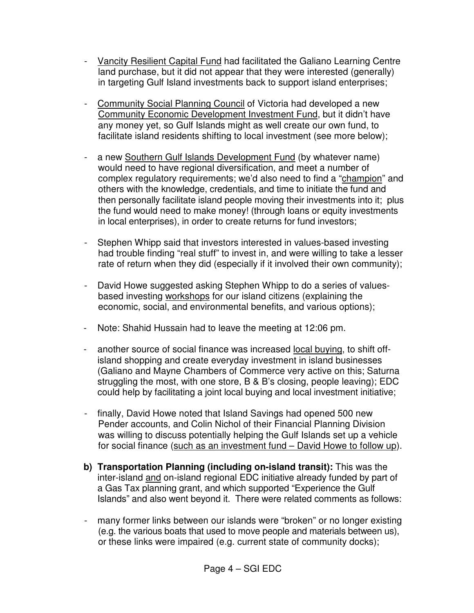- Vancity Resilient Capital Fund had facilitated the Galiano Learning Centre land purchase, but it did not appear that they were interested (generally) in targeting Gulf Island investments back to support island enterprises;
- Community Social Planning Council of Victoria had developed a new Community Economic Development Investment Fund, but it didn't have any money yet, so Gulf Islands might as well create our own fund, to facilitate island residents shifting to local investment (see more below);
- a new Southern Gulf Islands Development Fund (by whatever name) would need to have regional diversification, and meet a number of complex regulatory requirements; we'd also need to find a "champion" and others with the knowledge, credentials, and time to initiate the fund and then personally facilitate island people moving their investments into it; plus the fund would need to make money! (through loans or equity investments in local enterprises), in order to create returns for fund investors;
- Stephen Whipp said that investors interested in values-based investing had trouble finding "real stuff" to invest in, and were willing to take a lesser rate of return when they did (especially if it involved their own community);
- David Howe suggested asking Stephen Whipp to do a series of valuesbased investing workshops for our island citizens (explaining the economic, social, and environmental benefits, and various options);
- Note: Shahid Hussain had to leave the meeting at 12:06 pm.
- another source of social finance was increased local buying, to shift offisland shopping and create everyday investment in island businesses (Galiano and Mayne Chambers of Commerce very active on this; Saturna struggling the most, with one store, B & B's closing, people leaving); EDC could help by facilitating a joint local buying and local investment initiative;
- finally, David Howe noted that Island Savings had opened 500 new Pender accounts, and Colin Nichol of their Financial Planning Division was willing to discuss potentially helping the Gulf Islands set up a vehicle for social finance (such as an investment fund – David Howe to follow up).
- **b) Transportation Planning (including on-island transit):** This was the inter-island and on-island regional EDC initiative already funded by part of a Gas Tax planning grant, and which supported "Experience the Gulf Islands" and also went beyond it. There were related comments as follows:
- many former links between our islands were "broken" or no longer existing (e.g. the various boats that used to move people and materials between us), or these links were impaired (e.g. current state of community docks);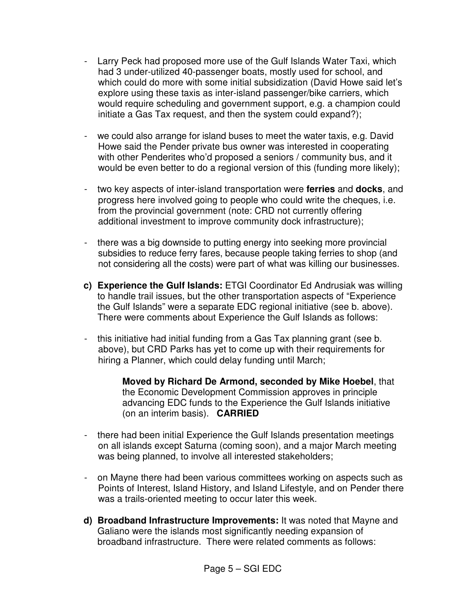- Larry Peck had proposed more use of the Gulf Islands Water Taxi, which had 3 under-utilized 40-passenger boats, mostly used for school, and which could do more with some initial subsidization (David Howe said let's explore using these taxis as inter-island passenger/bike carriers, which would require scheduling and government support, e.g. a champion could initiate a Gas Tax request, and then the system could expand?);
- we could also arrange for island buses to meet the water taxis, e.g. David Howe said the Pender private bus owner was interested in cooperating with other Penderites who'd proposed a seniors / community bus, and it would be even better to do a regional version of this (funding more likely);
- two key aspects of inter-island transportation were **ferries** and **docks**, and progress here involved going to people who could write the cheques, i.e. from the provincial government (note: CRD not currently offering additional investment to improve community dock infrastructure);
- there was a big downside to putting energy into seeking more provincial subsidies to reduce ferry fares, because people taking ferries to shop (and not considering all the costs) were part of what was killing our businesses.
- **c) Experience the Gulf Islands:** ETGI Coordinator Ed Andrusiak was willing to handle trail issues, but the other transportation aspects of "Experience the Gulf Islands" were a separate EDC regional initiative (see b. above). There were comments about Experience the Gulf Islands as follows:
- this initiative had initial funding from a Gas Tax planning grant (see b. above), but CRD Parks has yet to come up with their requirements for hiring a Planner, which could delay funding until March;

**Moved by Richard De Armond, seconded by Mike Hoebel**, that the Economic Development Commission approves in principle advancing EDC funds to the Experience the Gulf Islands initiative (on an interim basis). **CARRIED**

- there had been initial Experience the Gulf Islands presentation meetings on all islands except Saturna (coming soon), and a major March meeting was being planned, to involve all interested stakeholders;
- on Mayne there had been various committees working on aspects such as Points of Interest, Island History, and Island Lifestyle, and on Pender there was a trails-oriented meeting to occur later this week.
- **d) Broadband Infrastructure Improvements:** It was noted that Mayne and Galiano were the islands most significantly needing expansion of broadband infrastructure. There were related comments as follows: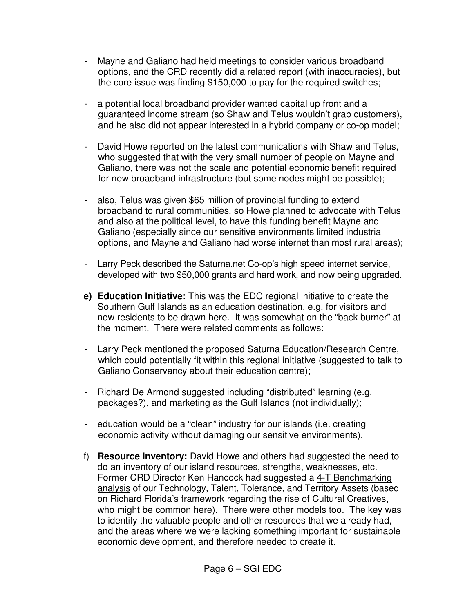- Mayne and Galiano had held meetings to consider various broadband options, and the CRD recently did a related report (with inaccuracies), but the core issue was finding \$150,000 to pay for the required switches;
- a potential local broadband provider wanted capital up front and a guaranteed income stream (so Shaw and Telus wouldn't grab customers), and he also did not appear interested in a hybrid company or co-op model;
- David Howe reported on the latest communications with Shaw and Telus, who suggested that with the very small number of people on Mayne and Galiano, there was not the scale and potential economic benefit required for new broadband infrastructure (but some nodes might be possible);
- also, Telus was given \$65 million of provincial funding to extend broadband to rural communities, so Howe planned to advocate with Telus and also at the political level, to have this funding benefit Mayne and Galiano (especially since our sensitive environments limited industrial options, and Mayne and Galiano had worse internet than most rural areas);
- Larry Peck described the Saturna.net Co-op's high speed internet service, developed with two \$50,000 grants and hard work, and now being upgraded.
- **e) Education Initiative:** This was the EDC regional initiative to create the Southern Gulf Islands as an education destination, e.g. for visitors and new residents to be drawn here. It was somewhat on the "back burner" at the moment. There were related comments as follows:
- Larry Peck mentioned the proposed Saturna Education/Research Centre, which could potentially fit within this regional initiative (suggested to talk to Galiano Conservancy about their education centre);
- Richard De Armond suggested including "distributed" learning (e.g. packages?), and marketing as the Gulf Islands (not individually);
- education would be a "clean" industry for our islands (i.e. creating economic activity without damaging our sensitive environments).
- f) **Resource Inventory:** David Howe and others had suggested the need to do an inventory of our island resources, strengths, weaknesses, etc. Former CRD Director Ken Hancock had suggested a 4-T Benchmarking analysis of our Technology, Talent, Tolerance, and Territory Assets (based on Richard Florida's framework regarding the rise of Cultural Creatives, who might be common here). There were other models too. The key was to identify the valuable people and other resources that we already had, and the areas where we were lacking something important for sustainable economic development, and therefore needed to create it.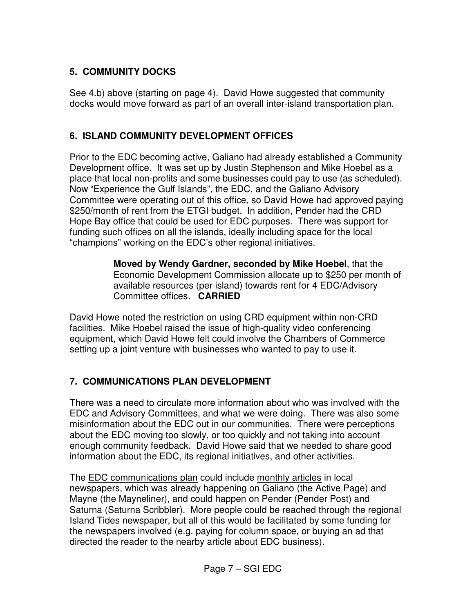# **5. COMMUNITY DOCKS**

See 4.b) above (starting on page 4). David Howe suggested that community docks would move forward as part of an overall inter-island transportation plan.

#### **6. ISLAND COMMUNITY DEVELOPMENT OFFICES**

Prior to the EDC becoming active, Galiano had already established a Community Development office. It was set up by Justin Stephenson and Mike Hoebel as a place that local non-profits and some businesses could pay to use (as scheduled). Now "Experience the Gulf Islands", the EDC, and the Galiano Advisory Committee were operating out of this office, so David Howe had approved paying \$250/month of rent from the ETGI budget. In addition, Pender had the CRD Hope Bay office that could be used for EDC purposes. There was support for funding such offices on all the islands, ideally including space for the local "champions" working on the EDC's other regional initiatives.

> **Moved by Wendy Gardner, seconded by Mike Hoebel**, that the Economic Development Commission allocate up to \$250 per month of available resources (per island) towards rent for 4 EDC/Advisory Committee offices. **CARRIED**

David Howe noted the restriction on using CRD equipment within non-CRD facilities. Mike Hoebel raised the issue of high-quality video conferencing equipment, which David Howe felt could involve the Chambers of Commerce setting up a joint venture with businesses who wanted to pay to use it.

# **7. COMMUNICATIONS PLAN DEVELOPMENT**

There was a need to circulate more information about who was involved with the EDC and Advisory Committees, and what we were doing. There was also some misinformation about the EDC out in our communities. There were perceptions about the EDC moving too slowly, or too quickly and not taking into account enough community feedback. David Howe said that we needed to share good information about the EDC, its regional initiatives, and other activities.

The EDC communications plan could include monthly articles in local newspapers, which was already happening on Galiano (the Active Page) and Mayne (the Mayneliner), and could happen on Pender (Pender Post) and Saturna (Saturna Scribbler). More people could be reached through the regional Island Tides newspaper, but all of this would be facilitated by some funding for the newspapers involved (e.g. paying for column space, or buying an ad that directed the reader to the nearby article about EDC business).